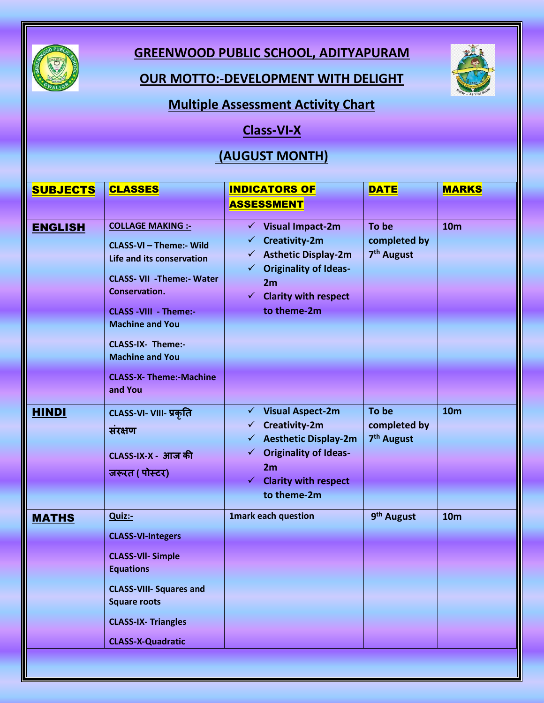

## **GREENWOOD PUBLIC SCHOOL, ADITYAPURAM**

#### **OUR MOTTO:-DEVELOPMENT WITH DELIGHT**



#### **Multiple Assessment Activity Chart**

# **Class-VI-X**

## **(AUGUST MONTH)**

| <b>SUBJECTS</b> | <b>CLASSES</b>                                                                                                                                                                                                                                                                           | <b>INDICATORS OF</b>                                                                                                                                                                                              | <b>DATE</b>                                     | <b>MARKS</b>    |
|-----------------|------------------------------------------------------------------------------------------------------------------------------------------------------------------------------------------------------------------------------------------------------------------------------------------|-------------------------------------------------------------------------------------------------------------------------------------------------------------------------------------------------------------------|-------------------------------------------------|-----------------|
|                 |                                                                                                                                                                                                                                                                                          | <b>ASSESSMENT</b>                                                                                                                                                                                                 |                                                 |                 |
| <b>ENGLISH</b>  | <b>COLLAGE MAKING :-</b><br>CLASS-VI - Theme:- Wild<br>Life and its conservation<br><b>CLASS- VII - Theme:- Water</b><br>Conservation.<br><b>CLASS -VIII - Theme:-</b><br><b>Machine and You</b><br><b>CLASS-IX- Theme:-</b><br><b>Machine and You</b><br><b>CLASS-X- Theme:-Machine</b> | $\checkmark$ Visual Impact-2m<br><b>Creativity-2m</b><br>✓<br><b>Asthetic Display-2m</b><br>✓<br><b>Originality of Ideas-</b><br>$\checkmark$<br>2m<br><b>Clarity with respect</b><br>$\checkmark$<br>to theme-2m | To be<br>completed by<br>7 <sup>th</sup> August | <b>10m</b>      |
| <b>HINDI</b>    | and You<br>CLASS-VI- VIII- प्रकृति<br>संरक्षण                                                                                                                                                                                                                                            | $\checkmark$ Visual Aspect-2m<br>Creativity-2m<br>✓<br><b>Aesthetic Display-2m</b><br>✓                                                                                                                           | To be<br>completed by<br>7 <sup>th</sup> August | <b>10m</b>      |
|                 | CLASS-IX-X - आज की<br>जरूरत ( पोस्टर)                                                                                                                                                                                                                                                    | <b>Originality of Ideas-</b><br>$\checkmark$<br>2m<br><b>Clarity with respect</b><br>to theme-2m                                                                                                                  |                                                 |                 |
| <b>MATHS</b>    | Quiz:-<br><b>CLASS-VI-Integers</b><br><b>CLASS-VII- Simple</b><br><b>Equations</b><br><b>CLASS-VIII- Squares and</b><br><b>Square roots</b><br><b>CLASS-IX- Triangles</b><br><b>CLASS-X-Quadratic</b>                                                                                    | <b>1mark each question</b>                                                                                                                                                                                        | 9 <sup>th</sup> August                          | 10 <sub>m</sub> |